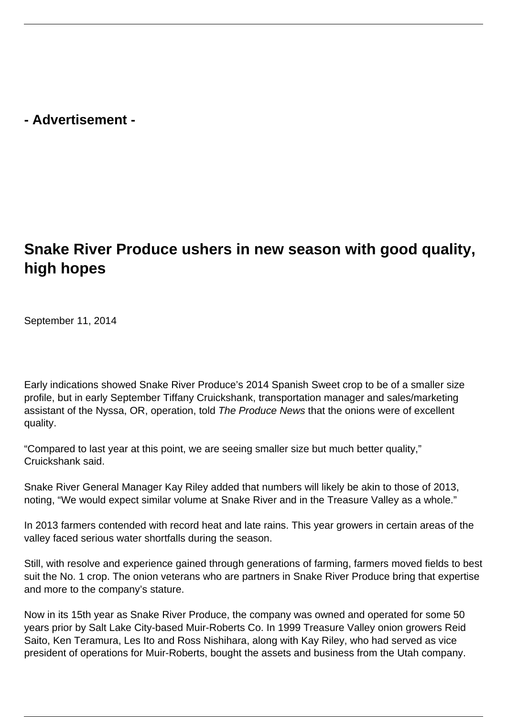**- Advertisement -**

## **Snake River Produce ushers in new season with good quality, high hopes**

September 11, 2014

Early indications showed Snake River Produce's 2014 Spanish Sweet crop to be of a smaller size profile, but in early September Tiffany Cruickshank, transportation manager and sales/marketing assistant of the Nyssa, OR, operation, told The Produce News that the onions were of excellent quality.

"Compared to last year at this point, we are seeing smaller size but much better quality," Cruickshank said.

Snake River General Manager Kay Riley added that numbers will likely be akin to those of 2013, noting, "We would expect similar volume at Snake River and in the Treasure Valley as a whole."

In 2013 farmers contended with record heat and late rains. This year growers in certain areas of the valley faced serious water shortfalls during the season.

Still, with resolve and experience gained through generations of farming, farmers moved fields to best suit the No. 1 crop. The onion veterans who are partners in Snake River Produce bring that expertise and more to the company's stature.

Now in its 15th year as Snake River Produce, the company was owned and operated for some 50 years prior by Salt Lake City-based Muir-Roberts Co. In 1999 Treasure Valley onion growers Reid Saito, Ken Teramura, Les Ito and Ross Nishihara, along with Kay Riley, who had served as vice president of operations for Muir-Roberts, bought the assets and business from the Utah company.